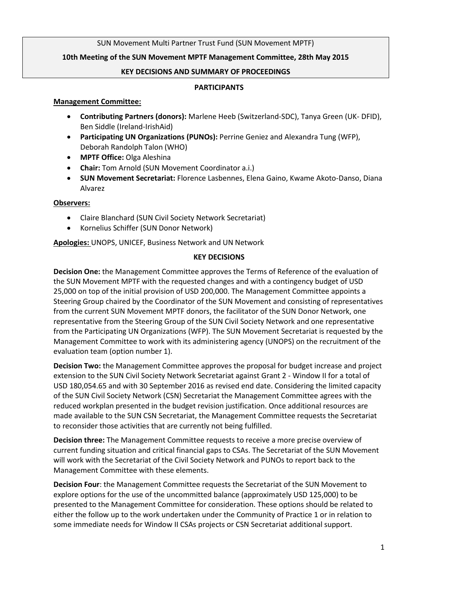## SUN Movement Multi Partner Trust Fund (SUN Movement MPTF)

## **10th Meeting of the SUN Movement MPTF Management Committee, 28th May 2015**

#### **KEY DECISIONS AND SUMMARY OF PROCEEDINGS**

#### **PARTICIPANTS**

#### **Management Committee:**

- **Contributing Partners (donors):** Marlene Heeb (Switzerland-SDC), Tanya Green (UK- DFID), Ben Siddle (Ireland-IrishAid)
- **Participating UN Organizations (PUNOs):** Perrine Geniez and Alexandra Tung (WFP), Deborah Randolph Talon (WHO)
- **MPTF Office:** Olga Aleshina
- **Chair:** Tom Arnold (SUN Movement Coordinator a.i.)
- **SUN Movement Secretariat:** Florence Lasbennes, Elena Gaino, Kwame Akoto-Danso, Diana Alvarez

#### **Observers:**

- Claire Blanchard (SUN Civil Society Network Secretariat)
- **•** Kornelius Schiffer (SUN Donor Network)

**Apologies:** UNOPS, UNICEF, Business Network and UN Network

## **KEY DECISIONS**

**Decision One:** the Management Committee approves the Terms of Reference of the evaluation of the SUN Movement MPTF with the requested changes and with a contingency budget of USD 25,000 on top of the initial provision of USD 200,000. The Management Committee appoints a Steering Group chaired by the Coordinator of the SUN Movement and consisting of representatives from the current SUN Movement MPTF donors, the facilitator of the SUN Donor Network, one representative from the Steering Group of the SUN Civil Society Network and one representative from the Participating UN Organizations (WFP). The SUN Movement Secretariat is requested by the Management Committee to work with its administering agency (UNOPS) on the recruitment of the evaluation team (option number 1).

**Decision Two:** the Management Committee approves the proposal for budget increase and project extension to the SUN Civil Society Network Secretariat against Grant 2 - Window II for a total of USD 180,054.65 and with 30 September 2016 as revised end date. Considering the limited capacity of the SUN Civil Society Network (CSN) Secretariat the Management Committee agrees with the reduced workplan presented in the budget revision justification. Once additional resources are made available to the SUN CSN Secretariat, the Management Committee requests the Secretariat to reconsider those activities that are currently not being fulfilled.

**Decision three:** The Management Committee requests to receive a more precise overview of current funding situation and critical financial gaps to CSAs. The Secretariat of the SUN Movement will work with the Secretariat of the Civil Society Network and PUNOs to report back to the Management Committee with these elements.

**Decision Four**: the Management Committee requests the Secretariat of the SUN Movement to explore options for the use of the uncommitted balance (approximately USD 125,000) to be presented to the Management Committee for consideration. These options should be related to either the follow up to the work undertaken under the Community of Practice 1 or in relation to some immediate needs for Window II CSAs projects or CSN Secretariat additional support.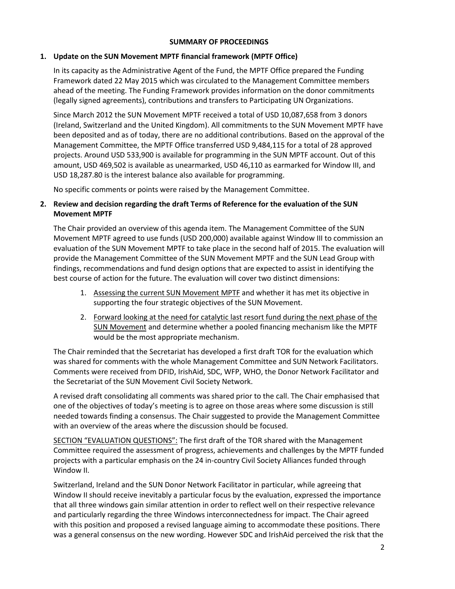## **SUMMARY OF PROCEEDINGS**

## **1. Update on the SUN Movement MPTF financial framework (MPTF Office)**

In its capacity as the Administrative Agent of the Fund, the MPTF Office prepared the Funding Framework dated 22 May 2015 which was circulated to the Management Committee members ahead of the meeting. The Funding Framework provides information on the donor commitments (legally signed agreements), contributions and transfers to Participating UN Organizations.

Since March 2012 the SUN Movement MPTF received a total of USD 10,087,658 from 3 donors (Ireland, Switzerland and the United Kingdom). All commitments to the SUN Movement MPTF have been deposited and as of today, there are no additional contributions. Based on the approval of the Management Committee, the MPTF Office transferred USD 9,484,115 for a total of 28 approved projects. Around USD 533,900 is available for programming in the SUN MPTF account. Out of this amount, USD 469,502 is available as unearmarked, USD 46,110 as earmarked for Window III, and USD 18,287.80 is the interest balance also available for programming.

No specific comments or points were raised by the Management Committee.

# **2. Review and decision regarding the draft Terms of Reference for the evaluation of the SUN Movement MPTF**

The Chair provided an overview of this agenda item. The Management Committee of the SUN Movement MPTF agreed to use funds (USD 200,000) available against Window III to commission an evaluation of the SUN Movement MPTF to take place in the second half of 2015. The evaluation will provide the Management Committee of the SUN Movement MPTF and the SUN Lead Group with findings, recommendations and fund design options that are expected to assist in identifying the best course of action for the future. The evaluation will cover two distinct dimensions:

- 1. Assessing the current SUN Movement MPTF and whether it has met its objective in supporting the four strategic objectives of the SUN Movement.
- 2. Forward looking at the need for catalytic last resort fund during the next phase of the SUN Movement and determine whether a pooled financing mechanism like the MPTF would be the most appropriate mechanism.

The Chair reminded that the Secretariat has developed a first draft TOR for the evaluation which was shared for comments with the whole Management Committee and SUN Network Facilitators. Comments were received from DFID, IrishAid, SDC, WFP, WHO, the Donor Network Facilitator and the Secretariat of the SUN Movement Civil Society Network.

A revised draft consolidating all comments was shared prior to the call. The Chair emphasised that one of the objectives of today's meeting is to agree on those areas where some discussion is still needed towards finding a consensus. The Chair suggested to provide the Management Committee with an overview of the areas where the discussion should be focused.

SECTION "EVALUATION QUESTIONS": The first draft of the TOR shared with the Management Committee required the assessment of progress, achievements and challenges by the MPTF funded projects with a particular emphasis on the 24 in-country Civil Society Alliances funded through Window II.

Switzerland, Ireland and the SUN Donor Network Facilitator in particular, while agreeing that Window II should receive inevitably a particular focus by the evaluation, expressed the importance that all three windows gain similar attention in order to reflect well on their respective relevance and particularly regarding the three Windows interconnectedness for impact. The Chair agreed with this position and proposed a revised language aiming to accommodate these positions. There was a general consensus on the new wording. However SDC and IrishAid perceived the risk that the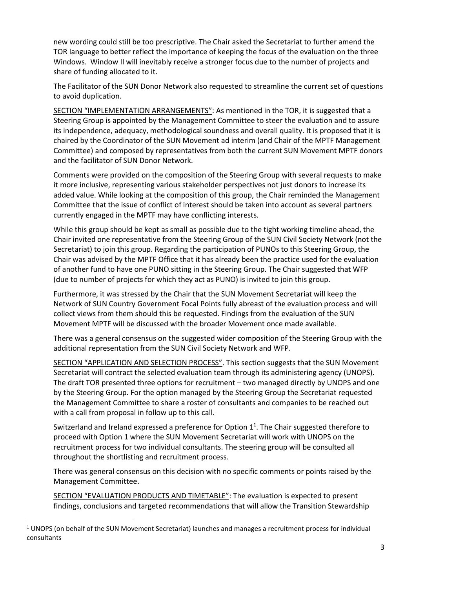new wording could still be too prescriptive. The Chair asked the Secretariat to further amend the TOR language to better reflect the importance of keeping the focus of the evaluation on the three Windows. Window II will inevitably receive a stronger focus due to the number of projects and share of funding allocated to it.

The Facilitator of the SUN Donor Network also requested to streamline the current set of questions to avoid duplication.

SECTION "IMPLEMENTATION ARRANGEMENTS": As mentioned in the TOR, it is suggested that a Steering Group is appointed by the Management Committee to steer the evaluation and to assure its independence, adequacy, methodological soundness and overall quality. It is proposed that it is chaired by the Coordinator of the SUN Movement ad interim (and Chair of the MPTF Management Committee) and composed by representatives from both the current SUN Movement MPTF donors and the facilitator of SUN Donor Network.

Comments were provided on the composition of the Steering Group with several requests to make it more inclusive, representing various stakeholder perspectives not just donors to increase its added value. While looking at the composition of this group, the Chair reminded the Management Committee that the issue of conflict of interest should be taken into account as several partners currently engaged in the MPTF may have conflicting interests.

While this group should be kept as small as possible due to the tight working timeline ahead, the Chair invited one representative from the Steering Group of the SUN Civil Society Network (not the Secretariat) to join this group. Regarding the participation of PUNOs to this Steering Group, the Chair was advised by the MPTF Office that it has already been the practice used for the evaluation of another fund to have one PUNO sitting in the Steering Group. The Chair suggested that WFP (due to number of projects for which they act as PUNO) is invited to join this group.

Furthermore, it was stressed by the Chair that the SUN Movement Secretariat will keep the Network of SUN Country Government Focal Points fully abreast of the evaluation process and will collect views from them should this be requested. Findings from the evaluation of the SUN Movement MPTF will be discussed with the broader Movement once made available.

There was a general consensus on the suggested wider composition of the Steering Group with the additional representation from the SUN Civil Society Network and WFP.

SECTION "APPLICATION AND SELECTION PROCESS". This section suggests that the SUN Movement Secretariat will contract the selected evaluation team through its administering agency (UNOPS). The draft TOR presented three options for recruitment – two managed directly by UNOPS and one by the Steering Group. For the option managed by the Steering Group the Secretariat requested the Management Committee to share a roster of consultants and companies to be reached out with a call from proposal in follow up to this call.

Switzerland and Ireland expressed a preference for Option  $1^1$ . The Chair suggested therefore to proceed with Option 1 where the SUN Movement Secretariat will work with UNOPS on the recruitment process for two individual consultants. The steering group will be consulted all throughout the shortlisting and recruitment process.

There was general consensus on this decision with no specific comments or points raised by the Management Committee.

SECTION "EVALUATION PRODUCTS AND TIMETABLE": The evaluation is expected to present findings, conclusions and targeted recommendations that will allow the Transition Stewardship

 $\overline{\phantom{a}}$ 

 $1$  UNOPS (on behalf of the SUN Movement Secretariat) launches and manages a recruitment process for individual consultants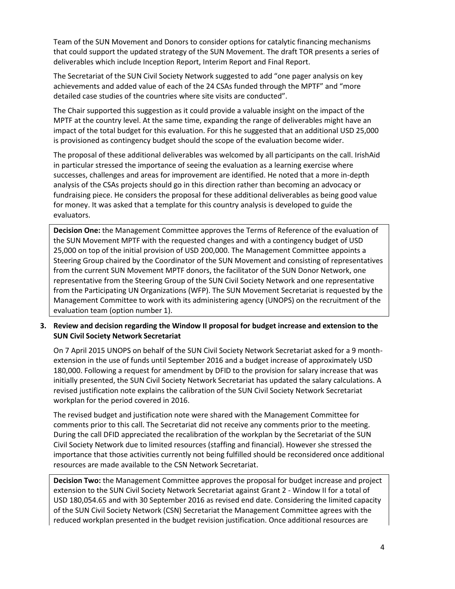Team of the SUN Movement and Donors to consider options for catalytic financing mechanisms that could support the updated strategy of the SUN Movement. The draft TOR presents a series of deliverables which include Inception Report, Interim Report and Final Report.

The Secretariat of the SUN Civil Society Network suggested to add "one pager analysis on key achievements and added value of each of the 24 CSAs funded through the MPTF" and "more detailed case studies of the countries where site visits are conducted".

The Chair supported this suggestion as it could provide a valuable insight on the impact of the MPTF at the country level. At the same time, expanding the range of deliverables might have an impact of the total budget for this evaluation. For this he suggested that an additional USD 25,000 is provisioned as contingency budget should the scope of the evaluation become wider.

The proposal of these additional deliverables was welcomed by all participants on the call. IrishAid in particular stressed the importance of seeing the evaluation as a learning exercise where successes, challenges and areas for improvement are identified. He noted that a more in-depth analysis of the CSAs projects should go in this direction rather than becoming an advocacy or fundraising piece. He considers the proposal for these additional deliverables as being good value for money. It was asked that a template for this country analysis is developed to guide the evaluators.

**Decision One:** the Management Committee approves the Terms of Reference of the evaluation of the SUN Movement MPTF with the requested changes and with a contingency budget of USD 25,000 on top of the initial provision of USD 200,000. The Management Committee appoints a Steering Group chaired by the Coordinator of the SUN Movement and consisting of representatives from the current SUN Movement MPTF donors, the facilitator of the SUN Donor Network, one representative from the Steering Group of the SUN Civil Society Network and one representative from the Participating UN Organizations (WFP). The SUN Movement Secretariat is requested by the Management Committee to work with its administering agency (UNOPS) on the recruitment of the evaluation team (option number 1).

# **3. Review and decision regarding the Window II proposal for budget increase and extension to the SUN Civil Society Network Secretariat**

On 7 April 2015 UNOPS on behalf of the SUN Civil Society Network Secretariat asked for a 9 monthextension in the use of funds until September 2016 and a budget increase of approximately USD 180,000. Following a request for amendment by DFID to the provision for salary increase that was initially presented, the SUN Civil Society Network Secretariat has updated the salary calculations. A revised justification note explains the calibration of the SUN Civil Society Network Secretariat workplan for the period covered in 2016.

The revised budget and justification note were shared with the Management Committee for comments prior to this call. The Secretariat did not receive any comments prior to the meeting. During the call DFID appreciated the recalibration of the workplan by the Secretariat of the SUN Civil Society Network due to limited resources (staffing and financial). However she stressed the importance that those activities currently not being fulfilled should be reconsidered once additional resources are made available to the CSN Network Secretariat.

**Decision Two:** the Management Committee approves the proposal for budget increase and project extension to the SUN Civil Society Network Secretariat against Grant 2 - Window II for a total of USD 180,054.65 and with 30 September 2016 as revised end date. Considering the limited capacity of the SUN Civil Society Network (CSN) Secretariat the Management Committee agrees with the reduced workplan presented in the budget revision justification. Once additional resources are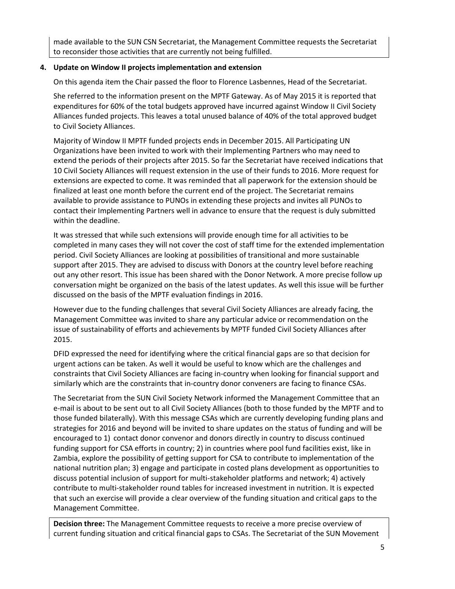made available to the SUN CSN Secretariat, the Management Committee requests the Secretariat to reconsider those activities that are currently not being fulfilled.

## **4. Update on Window II projects implementation and extension**

On this agenda item the Chair passed the floor to Florence Lasbennes, Head of the Secretariat.

She referred to the information present on the MPTF Gateway. As of May 2015 it is reported that expenditures for 60% of the total budgets approved have incurred against Window II Civil Society Alliances funded projects. This leaves a total unused balance of 40% of the total approved budget to Civil Society Alliances.

Majority of Window II MPTF funded projects ends in December 2015. All Participating UN Organizations have been invited to work with their Implementing Partners who may need to extend the periods of their projects after 2015. So far the Secretariat have received indications that 10 Civil Society Alliances will request extension in the use of their funds to 2016. More request for extensions are expected to come. It was reminded that all paperwork for the extension should be finalized at least one month before the current end of the project. The Secretariat remains available to provide assistance to PUNOs in extending these projects and invites all PUNOs to contact their Implementing Partners well in advance to ensure that the request is duly submitted within the deadline.

It was stressed that while such extensions will provide enough time for all activities to be completed in many cases they will not cover the cost of staff time for the extended implementation period. Civil Society Alliances are looking at possibilities of transitional and more sustainable support after 2015. They are advised to discuss with Donors at the country level before reaching out any other resort. This issue has been shared with the Donor Network. A more precise follow up conversation might be organized on the basis of the latest updates. As well this issue will be further discussed on the basis of the MPTF evaluation findings in 2016.

However due to the funding challenges that several Civil Society Alliances are already facing, the Management Committee was invited to share any particular advice or recommendation on the issue of sustainability of efforts and achievements by MPTF funded Civil Society Alliances after 2015.

DFID expressed the need for identifying where the critical financial gaps are so that decision for urgent actions can be taken. As well it would be useful to know which are the challenges and constraints that Civil Society Alliances are facing in-country when looking for financial support and similarly which are the constraints that in-country donor conveners are facing to finance CSAs.

The Secretariat from the SUN Civil Society Network informed the Management Committee that an e-mail is about to be sent out to all Civil Society Alliances (both to those funded by the MPTF and to those funded bilaterally). With this message CSAs which are currently developing funding plans and strategies for 2016 and beyond will be invited to share updates on the status of funding and will be encouraged to 1) contact donor convenor and donors directly in country to discuss continued funding support for CSA efforts in country; 2) in countries where pool fund facilities exist, like in Zambia, explore the possibility of getting support for CSA to contribute to implementation of the national nutrition plan; 3) engage and participate in costed plans development as opportunities to discuss potential inclusion of support for multi-stakeholder platforms and network; 4) actively contribute to multi-stakeholder round tables for increased investment in nutrition. It is expected that such an exercise will provide a clear overview of the funding situation and critical gaps to the Management Committee.

**Decision three:** The Management Committee requests to receive a more precise overview of current funding situation and critical financial gaps to CSAs. The Secretariat of the SUN Movement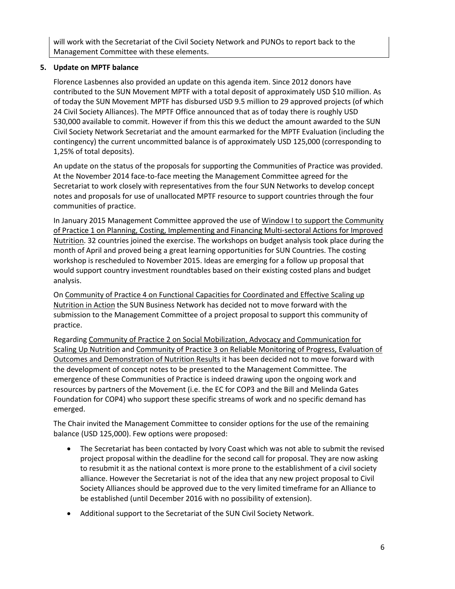will work with the Secretariat of the Civil Society Network and PUNOs to report back to the Management Committee with these elements.

#### **5. Update on MPTF balance**

Florence Lasbennes also provided an update on this agenda item. Since 2012 donors have contributed to the SUN Movement MPTF with a total deposit of approximately USD \$10 million. As of today the SUN Movement MPTF has disbursed USD 9.5 million to 29 approved projects (of which 24 Civil Society Alliances). The MPTF Office announced that as of today there is roughly USD 530,000 available to commit. However if from this this we deduct the amount awarded to the SUN Civil Society Network Secretariat and the amount earmarked for the MPTF Evaluation (including the contingency) the current uncommitted balance is of approximately USD 125,000 (corresponding to 1,25% of total deposits).

An update on the status of the proposals for supporting the Communities of Practice was provided. At the November 2014 face-to-face meeting the Management Committee agreed for the Secretariat to work closely with representatives from the four SUN Networks to develop concept notes and proposals for use of unallocated MPTF resource to support countries through the four communities of practice.

In January 2015 Management Committee approved the use of Window I to support the Community of Practice 1 on Planning, Costing, Implementing and Financing Multi-sectoral Actions for Improved Nutrition. 32 countries joined the exercise. The workshops on budget analysis took place during the month of April and proved being a great learning opportunities for SUN Countries. The costing workshop is rescheduled to November 2015. Ideas are emerging for a follow up proposal that would support country investment roundtables based on their existing costed plans and budget analysis.

On Community of Practice 4 on Functional Capacities for Coordinated and Effective Scaling up Nutrition in Action the SUN Business Network has decided not to move forward with the submission to the Management Committee of a project proposal to support this community of practice.

Regarding Community of Practice 2 on Social Mobilization, Advocacy and Communication for Scaling Up Nutrition and Community of Practice 3 on Reliable Monitoring of Progress, Evaluation of Outcomes and Demonstration of Nutrition Results it has been decided not to move forward with the development of concept notes to be presented to the Management Committee. The emergence of these Communities of Practice is indeed drawing upon the ongoing work and resources by partners of the Movement (i.e. the EC for COP3 and the Bill and Melinda Gates Foundation for COP4) who support these specific streams of work and no specific demand has emerged.

The Chair invited the Management Committee to consider options for the use of the remaining balance (USD 125,000). Few options were proposed:

- The Secretariat has been contacted by Ivory Coast which was not able to submit the revised project proposal within the deadline for the second call for proposal. They are now asking to resubmit it as the national context is more prone to the establishment of a civil society alliance. However the Secretariat is not of the idea that any new project proposal to Civil Society Alliances should be approved due to the very limited timeframe for an Alliance to be established (until December 2016 with no possibility of extension).
- Additional support to the Secretariat of the SUN Civil Society Network.